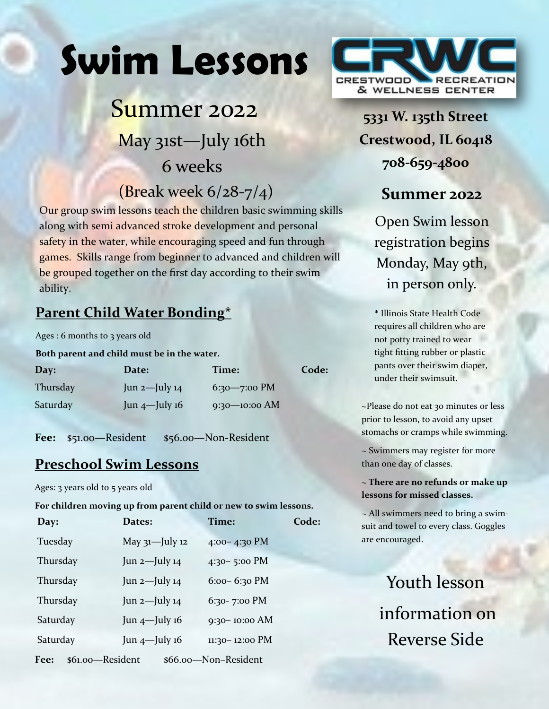# **Swim Lessons**

# Summer 2022 May 31st—July 16th 6 weeks

# (Break week 6/28-7/4)

Our group swim lessons teach the children basic swimming skills along with semi advanced stroke development and personal safety in the water, while encouraging speed and fun through games. Skills range from beginner to advanced and children will be grouped together on the first day according to their swim ability.

# **Parent Child Water Bonding\***

Ages : 6 months to 3 years old

#### **Both parent and child must be in the water.**

| Day:     | Date:              | Time:             | Code: |
|----------|--------------------|-------------------|-------|
| Thursday | Jun $2$ —July $14$ | $6:30 - 7:00$ PM  |       |
| Saturday | Jun $4$ —July 16   | $9:30 - 10:00$ AM |       |

Fee: \$51.00—Resident \$56.00—Non-Resident

# **Preschool Swim Lessons**

Ages: 3 years old to 5 years old

#### **For children moving up from parent child or new to swim lessons.**

| Day:                                             | Dates:             | Time:              | Code: |  |
|--------------------------------------------------|--------------------|--------------------|-------|--|
| Tuesday                                          | May $31$ -July 12  | $4:00-4:30$ PM     |       |  |
| Thursday                                         | Jun 2-July 14      | $4:30 - 5:00$ PM   |       |  |
| Thursday                                         | Jun $2$ -July $14$ | $6:00 - 6:30$ PM   |       |  |
| Thursday                                         | Jun $2$ -July $14$ | 6:30-7:00 PM       |       |  |
| Saturday                                         | Jun $4$ -July 16   | $9:30 - 10:00$ AM  |       |  |
| Saturday                                         | Jun $4$ -July 16   | $11:30 - 12:00$ PM |       |  |
| \$61.00-Resident<br>Fee:<br>\$66.00-Non-Resident |                    |                    |       |  |



**5331 W. 135th Street Crestwood, IL 60418 708-659-4800**

# **Summer 2022**

Open Swim lesson registration begins Monday, May 9th, in person only.

\* Illinois State Health Code requires all children who are not potty trained to wear tight fitting rubber or plastic pants over their swim diaper, under their swimsuit.

~Please do not eat 30 minutes or less prior to lesson, to avoid any upset stomachs or cramps while swimming.

~ Swimmers may register for more than one day of classes.

**~ There are no refunds or make up lessons for missed classes.**

~ All swimmers need to bring a swimsuit and towel to every class. Goggles are encouraged.

> Youth lesson information on Reverse Side